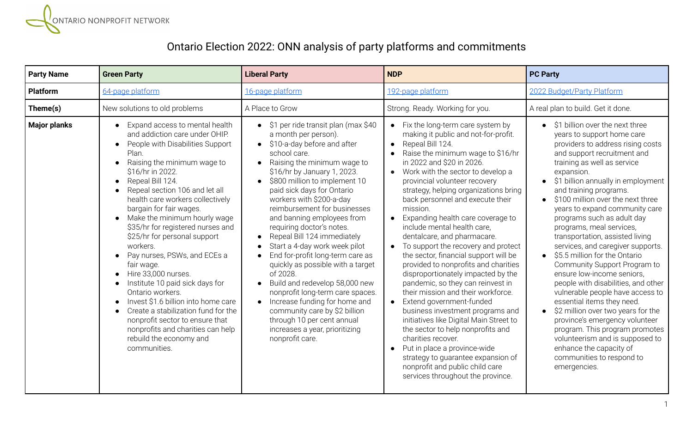

## Ontario Election 2022: ONN analysis of party platforms and commitments

| <b>Party Name</b>   | <b>Green Party</b>                                                                                                                                                                                                                                                                                                                                                                                                                                                                                                                                                                                                                                                                                                                                                         | <b>Liberal Party</b>                                                                                                                                                                                                                                                                                                                                                                                                                                                                                                                                                                                                                                                                                                                                        | <b>NDP</b>                                                                                                                                                                                                                                                                                                                                                                                                                                                                                                                                                                                                                                                                                                                                                                                                                                                                                                                                                                                                                                                                  | <b>PC Party</b>                                                                                                                                                                                                                                                                                                                                                                                                                                                                                                                                                                                                                                                                                                                                                                                                                                                                        |
|---------------------|----------------------------------------------------------------------------------------------------------------------------------------------------------------------------------------------------------------------------------------------------------------------------------------------------------------------------------------------------------------------------------------------------------------------------------------------------------------------------------------------------------------------------------------------------------------------------------------------------------------------------------------------------------------------------------------------------------------------------------------------------------------------------|-------------------------------------------------------------------------------------------------------------------------------------------------------------------------------------------------------------------------------------------------------------------------------------------------------------------------------------------------------------------------------------------------------------------------------------------------------------------------------------------------------------------------------------------------------------------------------------------------------------------------------------------------------------------------------------------------------------------------------------------------------------|-----------------------------------------------------------------------------------------------------------------------------------------------------------------------------------------------------------------------------------------------------------------------------------------------------------------------------------------------------------------------------------------------------------------------------------------------------------------------------------------------------------------------------------------------------------------------------------------------------------------------------------------------------------------------------------------------------------------------------------------------------------------------------------------------------------------------------------------------------------------------------------------------------------------------------------------------------------------------------------------------------------------------------------------------------------------------------|----------------------------------------------------------------------------------------------------------------------------------------------------------------------------------------------------------------------------------------------------------------------------------------------------------------------------------------------------------------------------------------------------------------------------------------------------------------------------------------------------------------------------------------------------------------------------------------------------------------------------------------------------------------------------------------------------------------------------------------------------------------------------------------------------------------------------------------------------------------------------------------|
| <b>Platform</b>     | 64-page platform                                                                                                                                                                                                                                                                                                                                                                                                                                                                                                                                                                                                                                                                                                                                                           | 16-page platform                                                                                                                                                                                                                                                                                                                                                                                                                                                                                                                                                                                                                                                                                                                                            | 192-page platform                                                                                                                                                                                                                                                                                                                                                                                                                                                                                                                                                                                                                                                                                                                                                                                                                                                                                                                                                                                                                                                           | 2022 Budget/Party Platform                                                                                                                                                                                                                                                                                                                                                                                                                                                                                                                                                                                                                                                                                                                                                                                                                                                             |
| Theme(s)            | New solutions to old problems                                                                                                                                                                                                                                                                                                                                                                                                                                                                                                                                                                                                                                                                                                                                              | A Place to Grow                                                                                                                                                                                                                                                                                                                                                                                                                                                                                                                                                                                                                                                                                                                                             | Strong. Ready. Working for you.                                                                                                                                                                                                                                                                                                                                                                                                                                                                                                                                                                                                                                                                                                                                                                                                                                                                                                                                                                                                                                             | A real plan to build. Get it done.                                                                                                                                                                                                                                                                                                                                                                                                                                                                                                                                                                                                                                                                                                                                                                                                                                                     |
| <b>Major planks</b> | Expand access to mental health<br>and addiction care under OHIP.<br>People with Disabilities Support<br>Plan.<br>Raising the minimum wage to<br>\$16/hr in 2022.<br>Repeal Bill 124.<br>$\bullet$<br>Repeal section 106 and let all<br>$\bullet$<br>health care workers collectively<br>bargain for fair wages.<br>Make the minimum hourly wage<br>\$35/hr for registered nurses and<br>\$25/hr for personal support<br>workers.<br>Pay nurses, PSWs, and ECEs a<br>$\bullet$<br>fair wage.<br>Hire 33,000 nurses.<br>Institute 10 paid sick days for<br>Ontario workers.<br>Invest \$1.6 billion into home care<br>Create a stabilization fund for the<br>nonprofit sector to ensure that<br>nonprofits and charities can help<br>rebuild the economy and<br>communities. | \$1 per ride transit plan (max \$40<br>a month per person).<br>\$10-a-day before and after<br>$\bullet$<br>school care.<br>Raising the minimum wage to<br>\$16/hr by January 1, 2023.<br>\$800 million to implement 10<br>paid sick days for Ontario<br>workers with \$200-a-day<br>reimbursement for businesses<br>and banning employees from<br>requiring doctor's notes.<br>Repeal Bill 124 immediately<br>Start a 4-day work week pilot<br>End for-profit long-term care as<br>quickly as possible with a target<br>of 2028.<br>Build and redevelop 58,000 new<br>nonprofit long-term care spaces.<br>Increase funding for home and<br>community care by \$2 billion<br>through 10 per cent annual<br>increases a year, prioritizing<br>nonprofit care. | Fix the long-term care system by<br>$\bullet$<br>making it public and not-for-profit.<br>Repeal Bill 124.<br>$\bullet$<br>Raise the minimum wage to \$16/hr<br>in 2022 and \$20 in 2026.<br>Work with the sector to develop a<br>$\bullet$<br>provincial volunteer recovery<br>strategy, helping organizations bring<br>back personnel and execute their<br>mission.<br>Expanding health care coverage to<br>$\bullet$<br>include mental health care.<br>dentalcare, and pharmacare.<br>To support the recovery and protect<br>the sector, financial support will be<br>provided to nonprofits and charities<br>disproportionately impacted by the<br>pandemic, so they can reinvest in<br>their mission and their workforce.<br>Extend government-funded<br>$\bullet$<br>business investment programs and<br>initiatives like Digital Main Street to<br>the sector to help nonprofits and<br>charities recover.<br>Put in place a province-wide<br>$\bullet$<br>strategy to guarantee expansion of<br>nonprofit and public child care<br>services throughout the province. | \$1 billion over the next three<br>years to support home care<br>providers to address rising costs<br>and support recruitment and<br>training as well as service<br>expansion.<br>\$1 billion annually in employment<br>and training programs.<br>\$100 million over the next three<br>years to expand community care<br>programs such as adult day<br>programs, meal services,<br>transportation, assisted living<br>services, and caregiver supports.<br>• \$5.5 million for the Ontario<br>Community Support Program to<br>ensure low-income seniors.<br>people with disabilities, and other<br>vulnerable people have access to<br>essential items they need.<br>\$2 million over two years for the<br>province's emergency volunteer<br>program. This program promotes<br>volunteerism and is supposed to<br>enhance the capacity of<br>communities to respond to<br>emergencies. |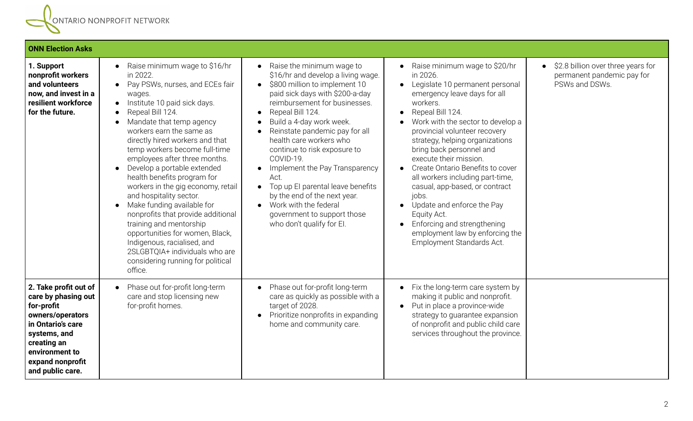

| <b>ONN Election Asks</b>                                                                                                                                                                     |                                                                                                                                                                                                                                                                                                                                                                                                                                                                                                                                                                                                                                                                                                                                               |                                                                                                                                                                                                                                                                                                                                                                                                                                                                                                                                                                                        |                                                                                                                                                                                                                                                                                                                                                                                                                                                                                                                                                                            |                                                                                                 |
|----------------------------------------------------------------------------------------------------------------------------------------------------------------------------------------------|-----------------------------------------------------------------------------------------------------------------------------------------------------------------------------------------------------------------------------------------------------------------------------------------------------------------------------------------------------------------------------------------------------------------------------------------------------------------------------------------------------------------------------------------------------------------------------------------------------------------------------------------------------------------------------------------------------------------------------------------------|----------------------------------------------------------------------------------------------------------------------------------------------------------------------------------------------------------------------------------------------------------------------------------------------------------------------------------------------------------------------------------------------------------------------------------------------------------------------------------------------------------------------------------------------------------------------------------------|----------------------------------------------------------------------------------------------------------------------------------------------------------------------------------------------------------------------------------------------------------------------------------------------------------------------------------------------------------------------------------------------------------------------------------------------------------------------------------------------------------------------------------------------------------------------------|-------------------------------------------------------------------------------------------------|
| 1. Support<br>nonprofit workers<br>and volunteers<br>now, and invest in a<br>resilient workforce<br>for the future.                                                                          | Raise minimum wage to \$16/hr<br>in 2022.<br>Pay PSWs, nurses, and ECEs fair<br>$\bullet$<br>wages.<br>Institute 10 paid sick days.<br>$\bullet$<br>Repeal Bill 124.<br>Mandate that temp agency<br>$\bullet$<br>workers earn the same as<br>directly hired workers and that<br>temp workers become full-time<br>employees after three months.<br>Develop a portable extended<br>$\bullet$<br>health benefits program for<br>workers in the gig economy, retail<br>and hospitality sector.<br>Make funding available for<br>nonprofits that provide additional<br>training and mentorship<br>opportunities for women, Black,<br>Indigenous, racialised, and<br>2SLGBTQIA+ individuals who are<br>considering running for political<br>office. | Raise the minimum wage to<br>$\bullet$<br>\$16/hr and develop a living wage.<br>\$800 million to implement 10<br>$\bullet$<br>paid sick days with \$200-a-day<br>reimbursement for businesses.<br>Repeal Bill 124.<br>Build a 4-day work week.<br>Reinstate pandemic pay for all<br>health care workers who<br>continue to risk exposure to<br>COVID-19.<br>Implement the Pay Transparency<br>$\bullet$<br>Act.<br>Top up EI parental leave benefits<br>$\bullet$<br>by the end of the next year.<br>Work with the federal<br>government to support those<br>who don't qualify for El. | Raise minimum wage to \$20/hr<br>in 2026.<br>Legislate 10 permanent personal<br>emergency leave days for all<br>workers.<br>Repeal Bill 124.<br>Work with the sector to develop a<br>provincial volunteer recovery<br>strategy, helping organizations<br>bring back personnel and<br>execute their mission.<br>Create Ontario Benefits to cover<br>all workers including part-time,<br>casual, app-based, or contract<br>jobs.<br>Update and enforce the Pay<br>Equity Act.<br>Enforcing and strengthening<br>employment law by enforcing the<br>Employment Standards Act. | \$2.8 billion over three years for<br>$\bullet$<br>permanent pandemic pay for<br>PSWs and DSWs. |
| 2. Take profit out of<br>care by phasing out<br>for-profit<br>owners/operators<br>in Ontario's care<br>systems, and<br>creating an<br>environment to<br>expand nonprofit<br>and public care. | Phase out for-profit long-term<br>care and stop licensing new<br>for-profit homes.                                                                                                                                                                                                                                                                                                                                                                                                                                                                                                                                                                                                                                                            | Phase out for-profit long-term<br>$\bullet$<br>care as quickly as possible with a<br>target of 2028.<br>Prioritize nonprofits in expanding<br>home and community care.                                                                                                                                                                                                                                                                                                                                                                                                                 | Fix the long-term care system by<br>$\bullet$<br>making it public and nonprofit.<br>Put in place a province-wide<br>$\bullet$<br>strategy to guarantee expansion<br>of nonprofit and public child care<br>services throughout the province.                                                                                                                                                                                                                                                                                                                                |                                                                                                 |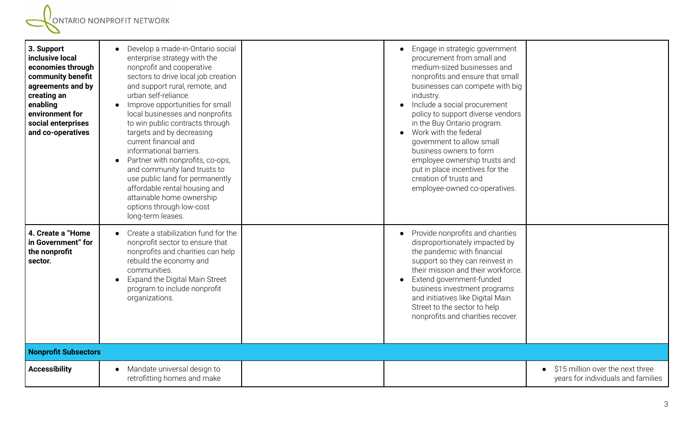| 3. Support<br>inclusive local<br>economies through<br>community benefit<br>agreements and by<br>creating an<br>enabling<br>environment for<br>social enterprises<br>and co-operatives | Develop a made-in-Ontario social<br>enterprise strategy with the<br>nonprofit and cooperative<br>sectors to drive local job creation<br>and support rural, remote, and<br>urban self-reliance.<br>Improve opportunities for small<br>local businesses and nonprofits<br>to win public contracts through<br>targets and by decreasing<br>current financial and<br>informational barriers.<br>Partner with nonprofits, co-ops,<br>and community land trusts to<br>use public land for permanently<br>affordable rental housing and<br>attainable home ownership<br>options through low-cost<br>long-term leases. | Engage in strategic government<br>procurement from small and<br>medium-sized businesses and<br>nonprofits and ensure that small<br>businesses can compete with big<br>industry.<br>Include a social procurement<br>policy to support diverse vendors<br>in the Buy Ontario program.<br>Work with the federal<br>government to allow small<br>business owners to form<br>employee ownership trusts and<br>put in place incentives for the<br>creation of trusts and<br>employee-owned co-operatives. |                                                                        |
|---------------------------------------------------------------------------------------------------------------------------------------------------------------------------------------|----------------------------------------------------------------------------------------------------------------------------------------------------------------------------------------------------------------------------------------------------------------------------------------------------------------------------------------------------------------------------------------------------------------------------------------------------------------------------------------------------------------------------------------------------------------------------------------------------------------|-----------------------------------------------------------------------------------------------------------------------------------------------------------------------------------------------------------------------------------------------------------------------------------------------------------------------------------------------------------------------------------------------------------------------------------------------------------------------------------------------------|------------------------------------------------------------------------|
| 4. Create a "Home<br>in Government" for<br>the nonprofit<br>sector.                                                                                                                   | • Create a stabilization fund for the<br>nonprofit sector to ensure that<br>nonprofits and charities can help<br>rebuild the economy and<br>communities.<br>Expand the Digital Main Street<br>program to include nonprofit<br>organizations.                                                                                                                                                                                                                                                                                                                                                                   | Provide nonprofits and charities<br>disproportionately impacted by<br>the pandemic with financial<br>support so they can reinvest in<br>their mission and their workforce.<br>Extend government-funded<br>business investment programs<br>and initiatives like Digital Main<br>Street to the sector to help<br>nonprofits and charities recover.                                                                                                                                                    |                                                                        |
| <b>Nonprofit Subsectors</b>                                                                                                                                                           |                                                                                                                                                                                                                                                                                                                                                                                                                                                                                                                                                                                                                |                                                                                                                                                                                                                                                                                                                                                                                                                                                                                                     |                                                                        |
| <b>Accessibility</b>                                                                                                                                                                  | Mandate universal design to<br>retrofitting homes and make                                                                                                                                                                                                                                                                                                                                                                                                                                                                                                                                                     |                                                                                                                                                                                                                                                                                                                                                                                                                                                                                                     | \$15 million over the next three<br>years for individuals and families |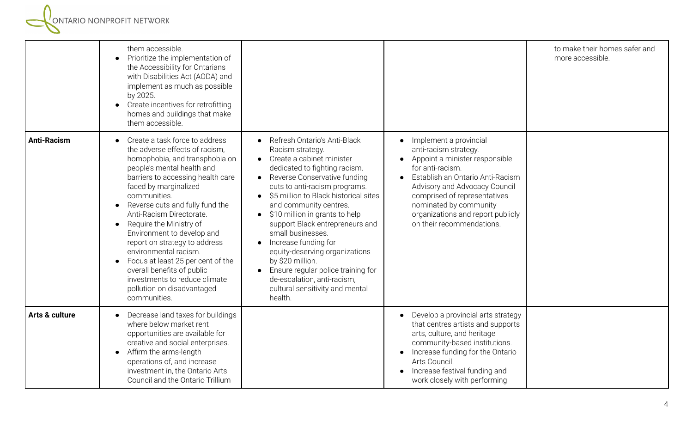|                    | them accessible.<br>Prioritize the implementation of<br>the Accessibility for Ontarians<br>with Disabilities Act (AODA) and<br>implement as much as possible<br>by 2025.<br>Create incentives for retrofitting<br>homes and buildings that make<br>them accessible.                                                                                                                                                                                                                                                                                                          |                                                                                                                                                                                                                                                                                                                                                                                                                                                                                                                                                                                      |                                                                                                                                                                                                                                                                                                        | to make their homes safer and<br>more accessible. |
|--------------------|------------------------------------------------------------------------------------------------------------------------------------------------------------------------------------------------------------------------------------------------------------------------------------------------------------------------------------------------------------------------------------------------------------------------------------------------------------------------------------------------------------------------------------------------------------------------------|--------------------------------------------------------------------------------------------------------------------------------------------------------------------------------------------------------------------------------------------------------------------------------------------------------------------------------------------------------------------------------------------------------------------------------------------------------------------------------------------------------------------------------------------------------------------------------------|--------------------------------------------------------------------------------------------------------------------------------------------------------------------------------------------------------------------------------------------------------------------------------------------------------|---------------------------------------------------|
| <b>Anti-Racism</b> | Create a task force to address<br>the adverse effects of racism,<br>homophobia, and transphobia on<br>people's mental health and<br>barriers to accessing health care<br>faced by marginalized<br>communities.<br>Reverse cuts and fully fund the<br>$\bullet$<br>Anti-Racism Directorate.<br>Require the Ministry of<br>$\bullet$<br>Environment to develop and<br>report on strategy to address<br>environmental racism.<br>Focus at least 25 per cent of the<br>overall benefits of public<br>investments to reduce climate<br>pollution on disadvantaged<br>communities. | Refresh Ontario's Anti-Black<br>Racism strategy.<br>Create a cabinet minister<br>dedicated to fighting racism.<br>Reverse Conservative funding<br>$\bullet$<br>cuts to anti-racism programs.<br>\$5 million to Black historical sites<br>and community centres.<br>\$10 million in grants to help<br>$\bullet$<br>support Black entrepreneurs and<br>small businesses.<br>Increase funding for<br>equity-deserving organizations<br>by \$20 million.<br>Ensure regular police training for<br>$\bullet$<br>de-escalation, anti-racism,<br>cultural sensitivity and mental<br>health. | Implement a provincial<br>anti-racism strategy.<br>Appoint a minister responsible<br>for anti-racism.<br>Establish an Ontario Anti-Racism<br>Advisory and Advocacy Council<br>comprised of representatives<br>nominated by community<br>organizations and report publicly<br>on their recommendations. |                                                   |
| Arts & culture     | Decrease land taxes for buildings<br>where below market rent<br>opportunities are available for<br>creative and social enterprises.<br>Affirm the arms-length<br>$\bullet$<br>operations of, and increase<br>investment in, the Ontario Arts<br>Council and the Ontario Trillium                                                                                                                                                                                                                                                                                             |                                                                                                                                                                                                                                                                                                                                                                                                                                                                                                                                                                                      | Develop a provincial arts strategy<br>that centres artists and supports<br>arts, culture, and heritage<br>community-based institutions.<br>Increase funding for the Ontario<br>Arts Council.<br>Increase festival funding and<br>work closely with performing                                          |                                                   |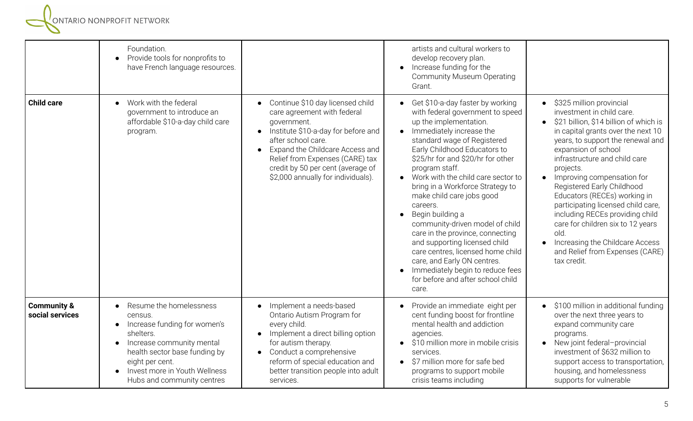**EN ESTABLISHER SERVICER SERVICER SERVICER** 

|                                           | Foundation.<br>Provide tools for nonprofits to<br>$\bullet$<br>have French language resources.                                                                                                                                                                         |                                                                                                                                                                                                                                                                                                                                     | artists and cultural workers to<br>develop recovery plan.<br>Increase funding for the<br><b>Community Museum Operating</b><br>Grant.                                                                                                                                                                                                                                                                                                                                                                                                                                                                                                                      |                                                                                                                                                                                                                                                                                                                                                                                                                                                                                                                                                                                                 |
|-------------------------------------------|------------------------------------------------------------------------------------------------------------------------------------------------------------------------------------------------------------------------------------------------------------------------|-------------------------------------------------------------------------------------------------------------------------------------------------------------------------------------------------------------------------------------------------------------------------------------------------------------------------------------|-----------------------------------------------------------------------------------------------------------------------------------------------------------------------------------------------------------------------------------------------------------------------------------------------------------------------------------------------------------------------------------------------------------------------------------------------------------------------------------------------------------------------------------------------------------------------------------------------------------------------------------------------------------|-------------------------------------------------------------------------------------------------------------------------------------------------------------------------------------------------------------------------------------------------------------------------------------------------------------------------------------------------------------------------------------------------------------------------------------------------------------------------------------------------------------------------------------------------------------------------------------------------|
| <b>Child care</b>                         | Work with the federal<br>$\bullet$<br>government to introduce an<br>affordable \$10-a-day child care<br>program.                                                                                                                                                       | Continue \$10 day licensed child<br>$\bullet$<br>care agreement with federal<br>government.<br>Institute \$10-a-day for before and<br>$\bullet$<br>after school care.<br>Expand the Childcare Access and<br>$\bullet$<br>Relief from Expenses (CARE) tax<br>credit by 50 per cent (average of<br>\$2,000 annually for individuals). | • Get \$10-a-day faster by working<br>with federal government to speed<br>up the implementation.<br>Immediately increase the<br>standard wage of Registered<br>Early Childhood Educators to<br>\$25/hr for and \$20/hr for other<br>program staff.<br>• Work with the child care sector to<br>bring in a Workforce Strategy to<br>make child care jobs good<br>careers.<br>Begin building a<br>community-driven model of child<br>care in the province, connecting<br>and supporting licensed child<br>care centres, licensed home child<br>care, and Early ON centres.<br>Immediately begin to reduce fees<br>for before and after school child<br>care. | • \$325 million provincial<br>investment in child care.<br>\$21 billion, \$14 billion of which is<br>$\bullet$<br>in capital grants over the next 10<br>years, to support the renewal and<br>expansion of school<br>infrastructure and child care<br>projects.<br>Improving compensation for<br>$\bullet$<br>Registered Early Childhood<br>Educators (RECEs) working in<br>participating licensed child care,<br>including RECEs providing child<br>care for children six to 12 years<br>old.<br>Increasing the Childcare Access<br>$\bullet$<br>and Relief from Expenses (CARE)<br>tax credit. |
| <b>Community &amp;</b><br>social services | Resume the homelessness<br>$\bullet$<br>census.<br>Increase funding for women's<br>$\bullet$<br>shelters.<br>Increase community mental<br>$\bullet$<br>health sector base funding by<br>eight per cent.<br>Invest more in Youth Wellness<br>Hubs and community centres | Implement a needs-based<br>$\bullet$<br>Ontario Autism Program for<br>every child.<br>Implement a direct billing option<br>$\bullet$<br>for autism therapy.<br>Conduct a comprehensive<br>$\bullet$<br>reform of special education and<br>better transition people into adult<br>services.                                          | Provide an immediate eight per<br>cent funding boost for frontline<br>mental health and addiction<br>agencies.<br>\$10 million more in mobile crisis<br>services.<br>• \$7 million more for safe bed<br>programs to support mobile<br>crisis teams including                                                                                                                                                                                                                                                                                                                                                                                              | • \$100 million in additional funding<br>over the next three years to<br>expand community care<br>programs.<br>• New joint federal-provincial<br>investment of \$632 million to<br>support access to transportation,<br>housing, and homelessness<br>supports for vulnerable                                                                                                                                                                                                                                                                                                                    |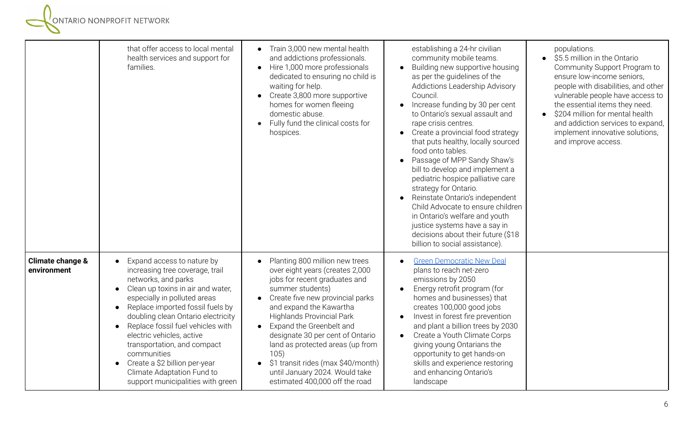|                                 | that offer access to local mental<br>health services and support for<br>families.                                                                                                                                                                                                                                                                                                                                                                                                              | • Train 3,000 new mental health<br>and addictions professionals.<br>• Hire 1,000 more professionals<br>dedicated to ensuring no child is<br>waiting for help.<br>Create 3,800 more supportive<br>homes for women fleeing<br>domestic abuse.<br>Fully fund the clinical costs for<br>hospices.                                                                                                                                                                                          | establishing a 24-hr civilian<br>community mobile teams.<br>Building new supportive housing<br>$\bullet$<br>as per the guidelines of the<br>Addictions Leadership Advisory<br>Council.<br>Increase funding by 30 per cent<br>$\bullet$<br>to Ontario's sexual assault and<br>rape crisis centres.<br>Create a provincial food strategy<br>$\bullet$<br>that puts healthy, locally sourced<br>food onto tables.<br>Passage of MPP Sandy Shaw's<br>bill to develop and implement a<br>pediatric hospice palliative care<br>strategy for Ontario.<br>Reinstate Ontario's independent<br>Child Advocate to ensure children<br>in Ontario's welfare and youth<br>justice systems have a say in<br>decisions about their future (\$18<br>billion to social assistance). | populations.<br>\$5.5 million in the Ontario<br>Community Support Program to<br>ensure low-income seniors,<br>people with disabilities, and other<br>vulnerable people have access to<br>the essential items they need.<br>\$204 million for mental health<br>and addiction services to expand,<br>implement innovative solutions,<br>and improve access. |
|---------------------------------|------------------------------------------------------------------------------------------------------------------------------------------------------------------------------------------------------------------------------------------------------------------------------------------------------------------------------------------------------------------------------------------------------------------------------------------------------------------------------------------------|----------------------------------------------------------------------------------------------------------------------------------------------------------------------------------------------------------------------------------------------------------------------------------------------------------------------------------------------------------------------------------------------------------------------------------------------------------------------------------------|-------------------------------------------------------------------------------------------------------------------------------------------------------------------------------------------------------------------------------------------------------------------------------------------------------------------------------------------------------------------------------------------------------------------------------------------------------------------------------------------------------------------------------------------------------------------------------------------------------------------------------------------------------------------------------------------------------------------------------------------------------------------|-----------------------------------------------------------------------------------------------------------------------------------------------------------------------------------------------------------------------------------------------------------------------------------------------------------------------------------------------------------|
| Climate change &<br>environment | Expand access to nature by<br>increasing tree coverage, trail<br>networks, and parks<br>Clean up toxins in air and water,<br>$\bullet$<br>especially in polluted areas<br>Replace imported fossil fuels by<br>$\bullet$<br>doubling clean Ontario electricity<br>Replace fossil fuel vehicles with<br>$\bullet$<br>electric vehicles, active<br>transportation, and compact<br>communities<br>Create a \$2 billion per-year<br>Climate Adaptation Fund to<br>support municipalities with green | Planting 800 million new trees<br>$\bullet$<br>over eight years (creates 2,000<br>jobs for recent graduates and<br>summer students)<br>Create five new provincial parks<br>$\bullet$<br>and expand the Kawartha<br><b>Highlands Provincial Park</b><br>Expand the Greenbelt and<br>$\bullet$<br>designate 30 per cent of Ontario<br>land as protected areas (up from<br>105)<br>\$1 transit rides (max \$40/month)<br>until January 2024. Would take<br>estimated 400,000 off the road | <b>Green Democratic New Deal</b><br>plans to reach net-zero<br>emissions by 2050<br>Energy retrofit program (for<br>homes and businesses) that<br>creates 100,000 good jobs<br>Invest in forest fire prevention<br>$\bullet$<br>and plant a billion trees by 2030<br>Create a Youth Climate Corps<br>$\bullet$<br>giving young Ontarians the<br>opportunity to get hands-on<br>skills and experience restoring<br>and enhancing Ontario's<br>landscape                                                                                                                                                                                                                                                                                                            |                                                                                                                                                                                                                                                                                                                                                           |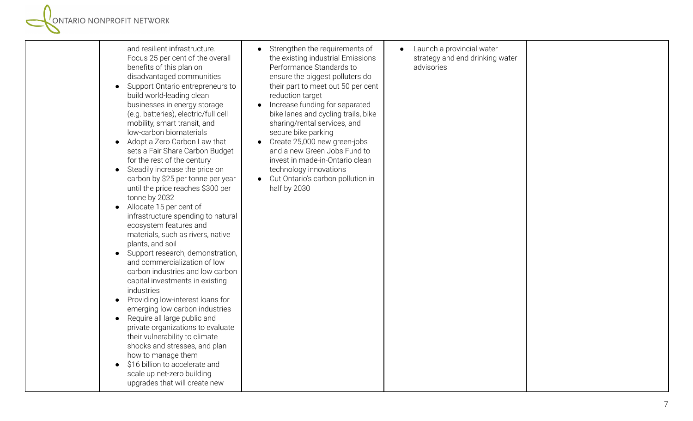|  | and resilient infrastructure.<br>Focus 25 per cent of the overall<br>benefits of this plan on<br>disadvantaged communities<br>Support Ontario entrepreneurs to<br>build world-leading clean<br>businesses in energy storage<br>(e.g. batteries), electric/full cell<br>mobility, smart transit, and<br>low-carbon biomaterials<br>Adopt a Zero Carbon Law that<br>sets a Fair Share Carbon Budget<br>for the rest of the century<br>• Steadily increase the price on<br>carbon by \$25 per tonne per year<br>until the price reaches \$300 per<br>tonne by 2032<br>Allocate 15 per cent of<br>$\bullet$<br>infrastructure spending to natural<br>ecosystem features and<br>materials, such as rivers, native<br>plants, and soil<br>Support research, demonstration,<br>and commercialization of low<br>carbon industries and low carbon<br>capital investments in existing<br>industries<br>Providing low-interest loans for<br>$\bullet$<br>emerging low carbon industries<br>Require all large public and<br>$\bullet$<br>private organizations to evaluate<br>their vulnerability to climate<br>shocks and stresses, and plan<br>how to manage them<br>\$16 billion to accelerate and<br>scale up net-zero building<br>upgrades that will create new | Strengthen the requirements of<br>the existing industrial Emissions<br>Performance Standards to<br>ensure the biggest polluters do<br>their part to meet out 50 per cent<br>reduction target<br>Increase funding for separated<br>bike lanes and cycling trails, bike<br>sharing/rental services, and<br>secure bike parking<br>Create 25,000 new green-jobs<br>and a new Green Jobs Fund to<br>invest in made-in-Ontario clean<br>technology innovations<br>Cut Ontario's carbon pollution in<br>half by 2030 | Launch a provincial water<br>$\bullet$<br>strategy and end drinking water<br>advisories |  |
|--|----------------------------------------------------------------------------------------------------------------------------------------------------------------------------------------------------------------------------------------------------------------------------------------------------------------------------------------------------------------------------------------------------------------------------------------------------------------------------------------------------------------------------------------------------------------------------------------------------------------------------------------------------------------------------------------------------------------------------------------------------------------------------------------------------------------------------------------------------------------------------------------------------------------------------------------------------------------------------------------------------------------------------------------------------------------------------------------------------------------------------------------------------------------------------------------------------------------------------------------------------------|----------------------------------------------------------------------------------------------------------------------------------------------------------------------------------------------------------------------------------------------------------------------------------------------------------------------------------------------------------------------------------------------------------------------------------------------------------------------------------------------------------------|-----------------------------------------------------------------------------------------|--|
|--|----------------------------------------------------------------------------------------------------------------------------------------------------------------------------------------------------------------------------------------------------------------------------------------------------------------------------------------------------------------------------------------------------------------------------------------------------------------------------------------------------------------------------------------------------------------------------------------------------------------------------------------------------------------------------------------------------------------------------------------------------------------------------------------------------------------------------------------------------------------------------------------------------------------------------------------------------------------------------------------------------------------------------------------------------------------------------------------------------------------------------------------------------------------------------------------------------------------------------------------------------------|----------------------------------------------------------------------------------------------------------------------------------------------------------------------------------------------------------------------------------------------------------------------------------------------------------------------------------------------------------------------------------------------------------------------------------------------------------------------------------------------------------------|-----------------------------------------------------------------------------------------|--|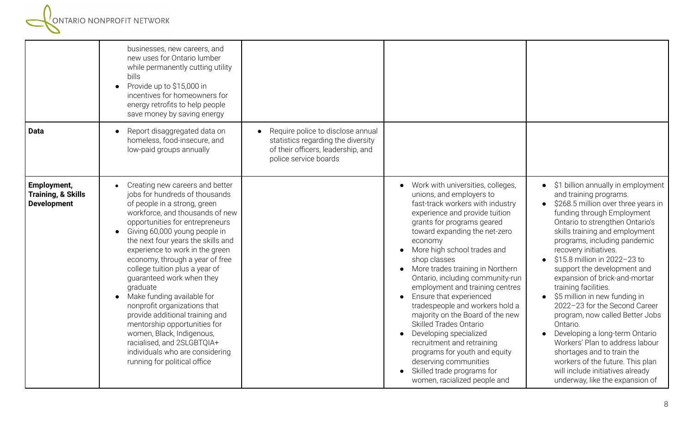|                                                                    | businesses, new careers, and<br>new uses for Ontario lumber<br>while permanently cutting utility<br>bills<br>Provide up to \$15,000 in<br>incentives for homeowners for<br>energy retrofits to help people<br>save money by saving energy                                                                                                                                                                                                                                                                                                                                                                                                                                                |                                                                                                                                        |                                                                                                                                                                                                                                                                                                                                                                                                                                                                                                                                                                                                                                                                                                                                   |                                                                                                                                                                                                                                                                                                                                                                                                                                                                                                                                                                                                                                                                                                                                      |
|--------------------------------------------------------------------|------------------------------------------------------------------------------------------------------------------------------------------------------------------------------------------------------------------------------------------------------------------------------------------------------------------------------------------------------------------------------------------------------------------------------------------------------------------------------------------------------------------------------------------------------------------------------------------------------------------------------------------------------------------------------------------|----------------------------------------------------------------------------------------------------------------------------------------|-----------------------------------------------------------------------------------------------------------------------------------------------------------------------------------------------------------------------------------------------------------------------------------------------------------------------------------------------------------------------------------------------------------------------------------------------------------------------------------------------------------------------------------------------------------------------------------------------------------------------------------------------------------------------------------------------------------------------------------|--------------------------------------------------------------------------------------------------------------------------------------------------------------------------------------------------------------------------------------------------------------------------------------------------------------------------------------------------------------------------------------------------------------------------------------------------------------------------------------------------------------------------------------------------------------------------------------------------------------------------------------------------------------------------------------------------------------------------------------|
| <b>Data</b>                                                        | Report disaggregated data on<br>homeless, food-insecure, and<br>low-paid groups annually                                                                                                                                                                                                                                                                                                                                                                                                                                                                                                                                                                                                 | Require police to disclose annual<br>statistics regarding the diversity<br>of their officers, leadership, and<br>police service boards |                                                                                                                                                                                                                                                                                                                                                                                                                                                                                                                                                                                                                                                                                                                                   |                                                                                                                                                                                                                                                                                                                                                                                                                                                                                                                                                                                                                                                                                                                                      |
| Employment,<br><b>Training, &amp; Skills</b><br><b>Development</b> | Creating new careers and better<br>jobs for hundreds of thousands<br>of people in a strong, green<br>workforce, and thousands of new<br>opportunities for entrepreneurs<br>Giving 60,000 young people in<br>$\bullet$<br>the next four years the skills and<br>experience to work in the green<br>economy, through a year of free<br>college tuition plus a year of<br>guaranteed work when they<br>graduate<br>Make funding available for<br>$\bullet$<br>nonprofit organizations that<br>provide additional training and<br>mentorship opportunities for<br>women, Black, Indigenous,<br>racialised, and 2SLGBTQIA+<br>individuals who are considering<br>running for political office |                                                                                                                                        | Work with universities, colleges,<br>unions, and employers to<br>fast-track workers with industry<br>experience and provide tuition<br>grants for programs geared<br>toward expanding the net-zero<br>economy<br>More high school trades and<br>$\bullet$<br>shop classes<br>More trades training in Northern<br>$\bullet$<br>Ontario, including community-run<br>employment and training centres<br>Ensure that experienced<br>$\bullet$<br>tradespeople and workers hold a<br>majority on the Board of the new<br><b>Skilled Trades Ontario</b><br>Developing specialized<br>recruitment and retraining<br>programs for youth and equity<br>deserving communities<br>Skilled trade programs for<br>women, racialized people and | • \$1 billion annually in employment<br>and training programs.<br>• \$268.5 million over three years in<br>funding through Employment<br>Ontario to strengthen Ontario's<br>skills training and employment<br>programs, including pandemic<br>recovery initiatives.<br>\$15.8 million in 2022-23 to<br>support the development and<br>expansion of brick-and-mortar<br>training facilities.<br>$\bullet$ \$5 million in new funding in<br>2022-23 for the Second Career<br>program, now called Better Jobs<br>Ontario.<br>Developing a long-term Ontario<br>Workers' Plan to address labour<br>shortages and to train the<br>workers of the future. This plan<br>will include initiatives already<br>underway, like the expansion of |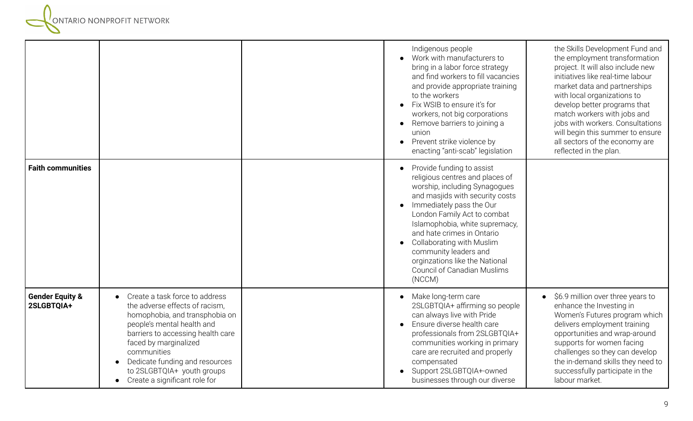

|                                          |                                                                                                                                                                                                                                                                                                                | Indigenous people<br>Work with manufacturers to<br>bring in a labor force strategy<br>and find workers to fill vacancies<br>and provide appropriate training<br>to the workers<br>Fix WSIB to ensure it's for<br>workers, not big corporations<br>Remove barriers to joining a<br>union<br>Prevent strike violence by<br>enacting "anti-scab" legislation                                                  | the Skills Development Fund and<br>the employment transformation<br>project. It will also include new<br>initiatives like real-time labour<br>market data and partnerships<br>with local organizations to<br>develop better programs that<br>match workers with jobs and<br>jobs with workers. Consultations<br>will begin this summer to ensure<br>all sectors of the economy are<br>reflected in the plan. |
|------------------------------------------|----------------------------------------------------------------------------------------------------------------------------------------------------------------------------------------------------------------------------------------------------------------------------------------------------------------|------------------------------------------------------------------------------------------------------------------------------------------------------------------------------------------------------------------------------------------------------------------------------------------------------------------------------------------------------------------------------------------------------------|--------------------------------------------------------------------------------------------------------------------------------------------------------------------------------------------------------------------------------------------------------------------------------------------------------------------------------------------------------------------------------------------------------------|
| <b>Faith communities</b>                 |                                                                                                                                                                                                                                                                                                                | Provide funding to assist<br>religious centres and places of<br>worship, including Synagogues<br>and masjids with security costs<br>Immediately pass the Our<br>London Family Act to combat<br>Islamophobia, white supremacy,<br>and hate crimes in Ontario<br><b>Collaborating with Muslim</b><br>community leaders and<br>orginzations like the National<br><b>Council of Canadian Muslims</b><br>(NCCM) |                                                                                                                                                                                                                                                                                                                                                                                                              |
| <b>Gender Equity &amp;</b><br>2SLGBTQIA+ | Create a task force to address<br>the adverse effects of racism,<br>homophobia, and transphobia on<br>people's mental health and<br>barriers to accessing health care<br>faced by marginalized<br>communities<br>Dedicate funding and resources<br>to 2SLGBTQIA+ youth groups<br>Create a significant role for | Make long-term care<br>2SLGBTQIA+ affirming so people<br>can always live with Pride<br>Ensure diverse health care<br>professionals from 2SLGBTQIA+<br>communities working in primary<br>care are recruited and properly<br>compensated<br>Support 2SLGBTQIA+-owned<br>businesses through our diverse                                                                                                       | \$6.9 million over three years to<br>enhance the Investing in<br>Women's Futures program which<br>delivers employment training<br>opportunities and wrap-around<br>supports for women facing<br>challenges so they can develop<br>the in-demand skills they need to<br>successfully participate in the<br>labour market.                                                                                     |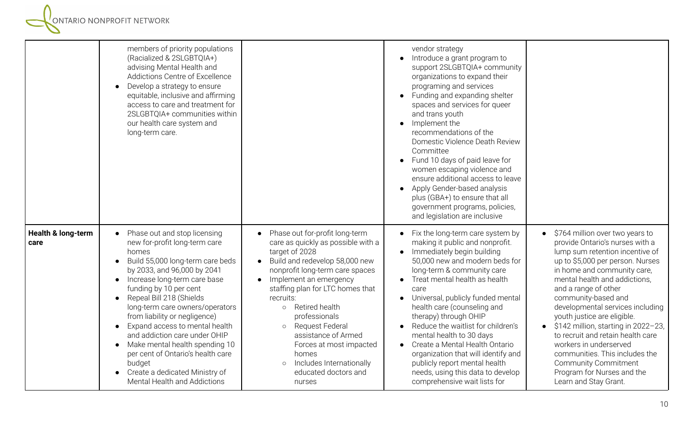**EN ESTABLISHER SERVICER SERVICER SERVICER** 

|                                       | members of priority populations<br>(Racialized & 2SLGBTQIA+)<br>advising Mental Health and<br>Addictions Centre of Excellence<br>Develop a strategy to ensure<br>equitable, inclusive and affirming<br>access to care and treatment for<br>2SLGBTQIA+ communities within<br>our health care system and<br>long-term care.                                                                                                                                                                                                                                        |                                                                                                                                                                                                                                                                                                                                                                                                                                                            | vendor strategy<br>Introduce a grant program to<br>support 2SLGBTQIA+ community<br>organizations to expand their<br>programing and services<br>Funding and expanding shelter<br>spaces and services for queer<br>and trans youth<br>Implement the<br>recommendations of the<br>Domestic Violence Death Review<br>Committee<br>Fund 10 days of paid leave for<br>women escaping violence and<br>ensure additional access to leave<br>Apply Gender-based analysis<br>plus (GBA+) to ensure that all<br>government programs, policies,<br>and legislation are inclusive |                                                                                                                                                                                                                                                                                                                                                                                                                                                                                                                                                                                  |
|---------------------------------------|------------------------------------------------------------------------------------------------------------------------------------------------------------------------------------------------------------------------------------------------------------------------------------------------------------------------------------------------------------------------------------------------------------------------------------------------------------------------------------------------------------------------------------------------------------------|------------------------------------------------------------------------------------------------------------------------------------------------------------------------------------------------------------------------------------------------------------------------------------------------------------------------------------------------------------------------------------------------------------------------------------------------------------|----------------------------------------------------------------------------------------------------------------------------------------------------------------------------------------------------------------------------------------------------------------------------------------------------------------------------------------------------------------------------------------------------------------------------------------------------------------------------------------------------------------------------------------------------------------------|----------------------------------------------------------------------------------------------------------------------------------------------------------------------------------------------------------------------------------------------------------------------------------------------------------------------------------------------------------------------------------------------------------------------------------------------------------------------------------------------------------------------------------------------------------------------------------|
| <b>Health &amp; long-term</b><br>care | Phase out and stop licensing<br>new for-profit long-term care<br>homes<br>Build 55,000 long-term care beds<br>by 2033, and 96,000 by 2041<br>Increase long-term care base<br>$\bullet$<br>funding by 10 per cent<br>Repeal Bill 218 (Shields<br>$\bullet$<br>long-term care owners/operators<br>from liability or negligence)<br>Expand access to mental health<br>$\bullet$<br>and addiction care under OHIP<br>Make mental health spending 10<br>per cent of Ontario's health care<br>budget<br>Create a dedicated Ministry of<br>Mental Health and Addictions | Phase out for-profit long-term<br>care as quickly as possible with a<br>target of 2028<br>Build and redevelop 58,000 new<br>$\bullet$<br>nonprofit long-term care spaces<br>Implement an emergency<br>staffing plan for LTC homes that<br>recruits:<br>o Retired health<br>professionals<br>Request Federal<br>$\circ$<br>assistance of Armed<br>Forces at most impacted<br>homes<br>Includes Internationally<br>$\circ$<br>educated doctors and<br>nurses | Fix the long-term care system by<br>making it public and nonprofit.<br>Immediately begin building<br>50,000 new and modern beds for<br>long-term & community care<br>Treat mental health as health<br>care<br>Universal, publicly funded mental<br>health care (counseling and<br>therapy) through OHIP<br>Reduce the waitlist for children's<br>mental health to 30 days<br>Create a Mental Health Ontario<br>organization that will identify and<br>publicly report mental health<br>needs, using this data to develop<br>comprehensive wait lists for             | \$764 million over two years to<br>$\bullet$<br>provide Ontario's nurses with a<br>lump sum retention incentive of<br>up to \$5,000 per person. Nurses<br>in home and community care,<br>mental health and addictions,<br>and a range of other<br>community-based and<br>developmental services including<br>youth justice are eligible.<br>$\bullet$ \$142 million, starting in 2022-23,<br>to recruit and retain health care<br>workers in underserved<br>communities. This includes the<br><b>Community Commitment</b><br>Program for Nurses and the<br>Learn and Stay Grant. |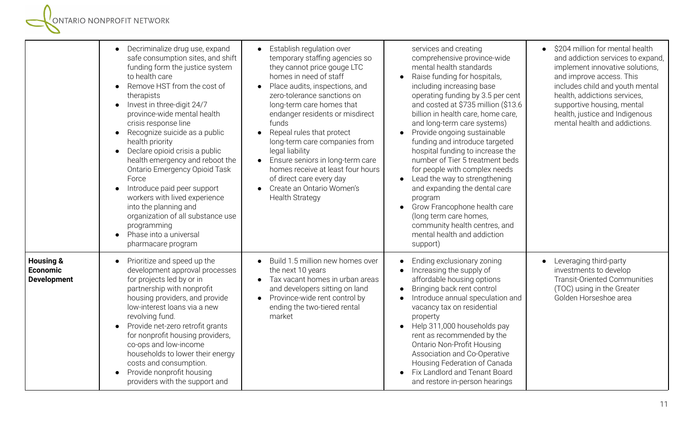|                                                               | • Decriminalize drug use, expand<br>safe consumption sites, and shift<br>funding form the justice system<br>to health care<br>Remove HST from the cost of<br>$\bullet$<br>therapists<br>Invest in three-digit 24/7<br>$\bullet$<br>province-wide mental health<br>crisis response line<br>Recognize suicide as a public<br>$\bullet$<br>health priority<br>Declare opioid crisis a public<br>$\bullet$<br>health emergency and reboot the<br>Ontario Emergency Opioid Task<br>Force<br>Introduce paid peer support<br>$\bullet$<br>workers with lived experience<br>into the planning and<br>organization of all substance use<br>programming<br>Phase into a universal<br>pharmacare program | • Establish regulation over<br>temporary staffing agencies so<br>they cannot price gouge LTC<br>homes in need of staff<br>Place audits, inspections, and<br>$\bullet$<br>zero-tolerance sanctions on<br>long-term care homes that<br>endanger residents or misdirect<br>funds<br>Repeal rules that protect<br>long-term care companies from<br>legal liability<br>Ensure seniors in long-term care<br>$\bullet$<br>homes receive at least four hours<br>of direct care every day<br>Create an Ontario Women's<br><b>Health Strategy</b> | services and creating<br>comprehensive province-wide<br>mental health standards<br>Raise funding for hospitals,<br>$\bullet$<br>including increasing base<br>operating funding by 3.5 per cent<br>and costed at \$735 million (\$13.6<br>billion in health care, home care,<br>and long-term care systems)<br>Provide ongoing sustainable<br>funding and introduce targeted<br>hospital funding to increase the<br>number of Tier 5 treatment beds<br>for people with complex needs<br>Lead the way to strengthening<br>$\bullet$<br>and expanding the dental care<br>program<br>Grow Francophone health care<br>$\bullet$<br>(long term care homes,<br>community health centres, and<br>mental health and addiction<br>support) | • \$204 million for mental health<br>and addiction services to expand,<br>implement innovative solutions,<br>and improve access. This<br>includes child and youth mental<br>health, addictions services,<br>supportive housing, mental<br>health, justice and Indigenous<br>mental health and addictions. |
|---------------------------------------------------------------|-----------------------------------------------------------------------------------------------------------------------------------------------------------------------------------------------------------------------------------------------------------------------------------------------------------------------------------------------------------------------------------------------------------------------------------------------------------------------------------------------------------------------------------------------------------------------------------------------------------------------------------------------------------------------------------------------|-----------------------------------------------------------------------------------------------------------------------------------------------------------------------------------------------------------------------------------------------------------------------------------------------------------------------------------------------------------------------------------------------------------------------------------------------------------------------------------------------------------------------------------------|----------------------------------------------------------------------------------------------------------------------------------------------------------------------------------------------------------------------------------------------------------------------------------------------------------------------------------------------------------------------------------------------------------------------------------------------------------------------------------------------------------------------------------------------------------------------------------------------------------------------------------------------------------------------------------------------------------------------------------|-----------------------------------------------------------------------------------------------------------------------------------------------------------------------------------------------------------------------------------------------------------------------------------------------------------|
| <b>Housing &amp;</b><br><b>Economic</b><br><b>Development</b> | Prioritize and speed up the<br>$\bullet$<br>development approval processes<br>for projects led by or in<br>partnership with nonprofit<br>housing providers, and provide<br>low-interest loans via a new<br>revolving fund.<br>Provide net-zero retrofit grants<br>$\bullet$<br>for nonprofit housing providers,<br>co-ops and low-income<br>households to lower their energy<br>costs and consumption.<br>Provide nonprofit housing<br>providers with the support and                                                                                                                                                                                                                         | Build 1.5 million new homes over<br>$\bullet$<br>the next 10 years<br>Tax vacant homes in urban areas<br>$\bullet$<br>and developers sitting on land<br>• Province-wide rent control by<br>ending the two-tiered rental<br>market                                                                                                                                                                                                                                                                                                       | Ending exclusionary zoning<br>$\bullet$<br>Increasing the supply of<br>$\bullet$<br>affordable housing options<br>Bringing back rent control<br>$\bullet$<br>Introduce annual speculation and<br>vacancy tax on residential<br>property<br>Help 311,000 households pay<br>$\bullet$<br>rent as recommended by the<br><b>Ontario Non-Profit Housing</b><br>Association and Co-Operative<br>Housing Federation of Canada<br>Fix Landlord and Tenant Board<br>and restore in-person hearings                                                                                                                                                                                                                                        | • Leveraging third-party<br>investments to develop<br><b>Transit-Oriented Communities</b><br>(TOC) using in the Greater<br>Golden Horseshoe area                                                                                                                                                          |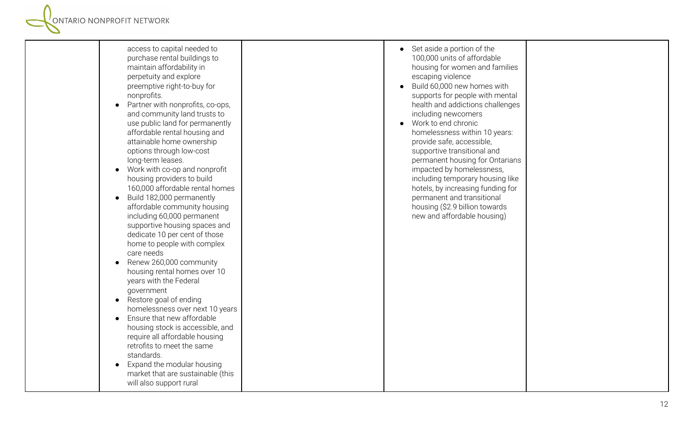| access to capital needed to<br>purchase rental buildings to<br>maintain affordability in<br>perpetuity and explore<br>preemptive right-to-buy for<br>nonprofits.<br>Partner with nonprofits, co-ops,<br>$\bullet$<br>and community land trusts to<br>use public land for permanently<br>affordable rental housing and<br>attainable home ownership<br>options through low-cost<br>long-term leases.<br>• Work with co-op and nonprofit<br>housing providers to build<br>160,000 affordable rental homes<br>Build 182,000 permanently<br>$\bullet$<br>affordable community housing<br>including 60,000 permanent<br>supportive housing spaces and<br>dedicate 10 per cent of those<br>home to people with complex<br>care needs<br>Renew 260,000 community<br>$\bullet$<br>housing rental homes over 10<br>years with the Federal<br>government<br>Restore goal of ending<br>$\bullet$<br>homelessness over next 10 years<br>Ensure that new affordable<br>housing stock is accessible, and<br>require all affordable housing<br>retrofits to meet the same<br>standards.<br>Expand the modular housing<br>$\bullet$<br>market that are sustainable (this<br>will also support rural | Set aside a portion of the<br>100,000 units of affordable<br>housing for women and families<br>escaping violence<br>Build 60,000 new homes with<br>supports for people with mental<br>health and addictions challenges<br>including newcomers<br>Work to end chronic<br>homelessness within 10 years:<br>provide safe, accessible,<br>supportive transitional and<br>permanent housing for Ontarians<br>impacted by homelessness,<br>including temporary housing like<br>hotels, by increasing funding for<br>permanent and transitional<br>housing (\$2.9 billion towards<br>new and affordable housing) |  |
|-------------------------------------------------------------------------------------------------------------------------------------------------------------------------------------------------------------------------------------------------------------------------------------------------------------------------------------------------------------------------------------------------------------------------------------------------------------------------------------------------------------------------------------------------------------------------------------------------------------------------------------------------------------------------------------------------------------------------------------------------------------------------------------------------------------------------------------------------------------------------------------------------------------------------------------------------------------------------------------------------------------------------------------------------------------------------------------------------------------------------------------------------------------------------------------|-----------------------------------------------------------------------------------------------------------------------------------------------------------------------------------------------------------------------------------------------------------------------------------------------------------------------------------------------------------------------------------------------------------------------------------------------------------------------------------------------------------------------------------------------------------------------------------------------------------|--|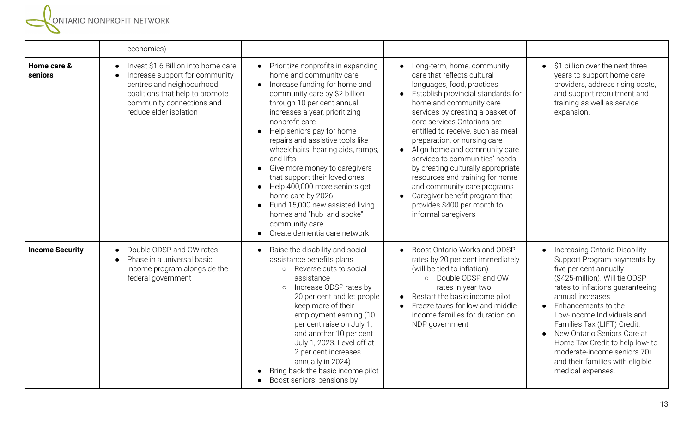**SERVITARIO NONPROFIT NETWORK** 

|                        | economies)                                                                                                                                                                                   |                                                                                                                                                                                                                                                                                                                                                                                                                                                                                                                                                                                                                                                              |                                                                                                                                                                                                                                                                                                                                                                                                                                                                                                                                                                     |                                                                                                                                                                                                                                                                                                                                                                                                                                                                       |
|------------------------|----------------------------------------------------------------------------------------------------------------------------------------------------------------------------------------------|--------------------------------------------------------------------------------------------------------------------------------------------------------------------------------------------------------------------------------------------------------------------------------------------------------------------------------------------------------------------------------------------------------------------------------------------------------------------------------------------------------------------------------------------------------------------------------------------------------------------------------------------------------------|---------------------------------------------------------------------------------------------------------------------------------------------------------------------------------------------------------------------------------------------------------------------------------------------------------------------------------------------------------------------------------------------------------------------------------------------------------------------------------------------------------------------------------------------------------------------|-----------------------------------------------------------------------------------------------------------------------------------------------------------------------------------------------------------------------------------------------------------------------------------------------------------------------------------------------------------------------------------------------------------------------------------------------------------------------|
| Home care &<br>seniors | Invest \$1.6 Billion into home care<br>Increase support for community<br>centres and neighbourhood<br>coalitions that help to promote<br>community connections and<br>reduce elder isolation | Prioritize nonprofits in expanding<br>$\bullet$<br>home and community care<br>Increase funding for home and<br>$\bullet$<br>community care by \$2 billion<br>through 10 per cent annual<br>increases a year, prioritizing<br>nonprofit care<br>Help seniors pay for home<br>$\bullet$<br>repairs and assistive tools like<br>wheelchairs, hearing aids, ramps,<br>and lifts<br>Give more money to caregivers<br>$\bullet$<br>that support their loved ones<br>Help 400,000 more seniors get<br>$\bullet$<br>home care by 2026<br>Fund 15,000 new assisted living<br>$\bullet$<br>homes and "hub and spoke"<br>community care<br>Create dementia care network | Long-term, home, community<br>care that reflects cultural<br>languages, food, practices<br>Establish provincial standards for<br>home and community care<br>services by creating a basket of<br>core services Ontarians are<br>entitled to receive, such as meal<br>preparation, or nursing care<br>Align home and community care<br>services to communities' needs<br>by creating culturally appropriate<br>resources and training for home<br>and community care programs<br>Caregiver benefit program that<br>provides \$400 per month to<br>informal caregivers | \$1 billion over the next three<br>$\bullet$<br>years to support home care<br>providers, address rising costs,<br>and support recruitment and<br>training as well as service<br>expansion.                                                                                                                                                                                                                                                                            |
| <b>Income Security</b> | Double ODSP and OW rates<br>Phase in a universal basic<br>income program alongside the<br>federal government                                                                                 | Raise the disability and social<br>assistance benefits plans<br>Reverse cuts to social<br>$\circ$<br>assistance<br>Increase ODSP rates by<br>$\circ$<br>20 per cent and let people<br>keep more of their<br>employment earning (10<br>per cent raise on July 1,<br>and another 10 per cent<br>July 1, 2023. Level off at<br>2 per cent increases<br>annually in 2024)<br>Bring back the basic income pilot<br>Boost seniors' pensions by<br>$\bullet$                                                                                                                                                                                                        | Boost Ontario Works and ODSP<br>rates by 20 per cent immediately<br>(will be tied to inflation)<br>o Double ODSP and OW<br>rates in year two<br>Restart the basic income pilot<br>Freeze taxes for low and middle<br>income families for duration on<br>NDP government                                                                                                                                                                                                                                                                                              | Increasing Ontario Disability<br>$\bullet$<br>Support Program payments by<br>five per cent annually<br>(\$425-million). Will tie ODSP<br>rates to inflations guaranteeing<br>annual increases<br>Enhancements to the<br>$\bullet$<br>Low-income Individuals and<br>Families Tax (LIFT) Credit.<br>New Ontario Seniors Care at<br>$\bullet$<br>Home Tax Credit to help low- to<br>moderate-income seniors 70+<br>and their families with eligible<br>medical expenses. |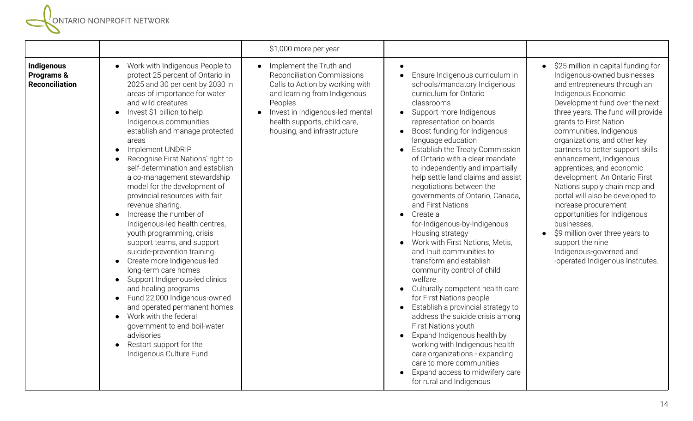|                                                   |                                                                                                                                                                                                                                                                                                                                                                                                                                                                                                                                                                                                                                                                                                                                                                                                                                                                                                                                                                                                                                                               | \$1,000 more per year                                                                                                                                                                                                                        |                                                                                                                                                                                                                                                                                                                                                                                                                                                                                                                                                                                                                                                                                                                                                                                                                                                                                                                                                                                                                            |                                                                                                                                                                                                                                                                                                                                                                                                                                                                                                                                                                                                                                                                                         |
|---------------------------------------------------|---------------------------------------------------------------------------------------------------------------------------------------------------------------------------------------------------------------------------------------------------------------------------------------------------------------------------------------------------------------------------------------------------------------------------------------------------------------------------------------------------------------------------------------------------------------------------------------------------------------------------------------------------------------------------------------------------------------------------------------------------------------------------------------------------------------------------------------------------------------------------------------------------------------------------------------------------------------------------------------------------------------------------------------------------------------|----------------------------------------------------------------------------------------------------------------------------------------------------------------------------------------------------------------------------------------------|----------------------------------------------------------------------------------------------------------------------------------------------------------------------------------------------------------------------------------------------------------------------------------------------------------------------------------------------------------------------------------------------------------------------------------------------------------------------------------------------------------------------------------------------------------------------------------------------------------------------------------------------------------------------------------------------------------------------------------------------------------------------------------------------------------------------------------------------------------------------------------------------------------------------------------------------------------------------------------------------------------------------------|-----------------------------------------------------------------------------------------------------------------------------------------------------------------------------------------------------------------------------------------------------------------------------------------------------------------------------------------------------------------------------------------------------------------------------------------------------------------------------------------------------------------------------------------------------------------------------------------------------------------------------------------------------------------------------------------|
| Indigenous<br>Programs &<br><b>Reconciliation</b> | Work with Indigenous People to<br>$\bullet$<br>protect 25 percent of Ontario in<br>2025 and 30 per cent by 2030 in<br>areas of importance for water<br>and wild creatures<br>Invest \$1 billion to help<br>$\bullet$<br>Indigenous communities<br>establish and manage protected<br>areas<br>Implement UNDRIP<br>$\bullet$<br>Recognise First Nations' right to<br>$\bullet$<br>self-determination and establish<br>a co-management stewardship<br>model for the development of<br>provincial resources with fair<br>revenue sharing.<br>Increase the number of<br>Indigenous-led health centres,<br>youth programming, crisis<br>support teams, and support<br>suicide-prevention training.<br>Create more Indigenous-led<br>$\bullet$<br>long-term care homes<br>Support Indigenous-led clinics<br>$\bullet$<br>and healing programs<br>Fund 22,000 Indigenous-owned<br>$\bullet$<br>and operated permanent homes<br>Work with the federal<br>$\bullet$<br>government to end boil-water<br>advisories<br>Restart support for the<br>Indigenous Culture Fund | Implement the Truth and<br><b>Reconciliation Commissions</b><br>Calls to Action by working with<br>and learning from Indigenous<br>Peoples<br>Invest in Indigenous-led mental<br>health supports, child care,<br>housing, and infrastructure | Ensure Indigenous curriculum in<br>schools/mandatory Indigenous<br>curriculum for Ontario<br>classrooms<br>Support more Indigenous<br>representation on boards<br>Boost funding for Indigenous<br>language education<br>Establish the Treaty Commission<br>of Ontario with a clear mandate<br>to independently and impartially<br>help settle land claims and assist<br>negotiations between the<br>governments of Ontario, Canada,<br>and First Nations<br>Create a<br>for-Indigenous-by-Indigenous<br>Housing strategy<br>Work with First Nations, Metis,<br>and Inuit communities to<br>transform and establish<br>community control of child<br>welfare<br>Culturally competent health care<br>for First Nations people<br>Establish a provincial strategy to<br>address the suicide crisis among<br>First Nations youth<br>Expand Indigenous health by<br>working with Indigenous health<br>care organizations - expanding<br>care to more communities<br>Expand access to midwifery care<br>for rural and Indigenous | • \$25 million in capital funding for<br>Indigenous-owned businesses<br>and entrepreneurs through an<br>Indigenous Economic<br>Development fund over the next<br>three years. The fund will provide<br>grants to First Nation<br>communities, Indigenous<br>organizations, and other key<br>partners to better support skills<br>enhancement, Indigenous<br>apprentices, and economic<br>development. An Ontario First<br>Nations supply chain map and<br>portal will also be developed to<br>increase procurement<br>opportunities for Indigenous<br>businesses.<br>\$9 million over three years to<br>support the nine<br>Indigenous-governed and<br>-operated Indigenous Institutes. |